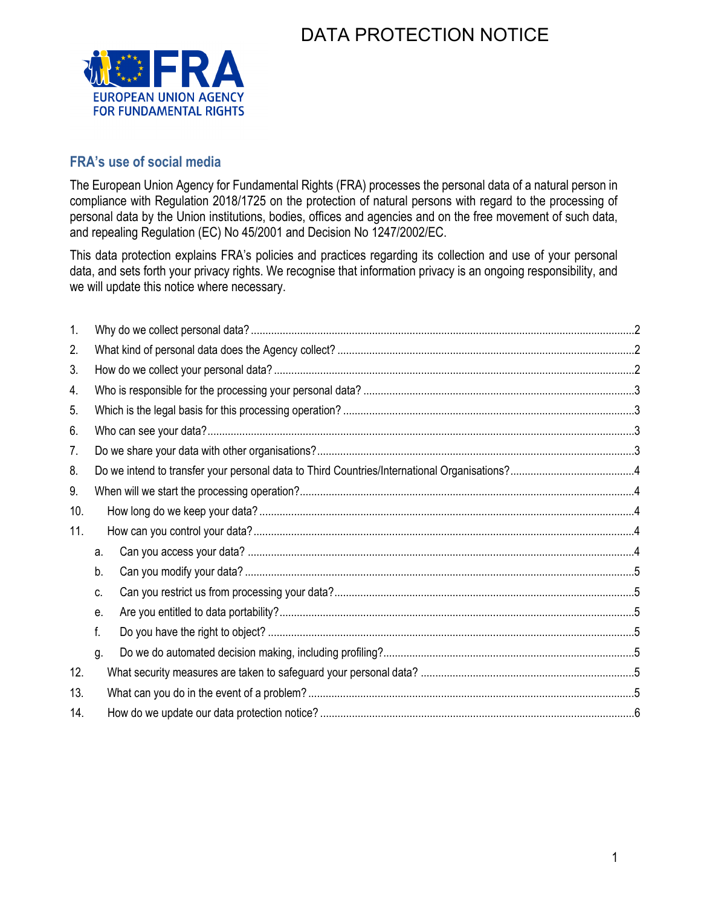

### **FRA's use of social media**

The European Union Agency for Fundamental Rights (FRA) processes the personal data of a natural person in compliance with Regulation 2018/1725 on the protection of natural persons with regard to the processing of personal data by the Union institutions, bodies, offices and agencies and on the free movement of such data, and repealing Regulation (EC) No 45/2001 and Decision No 1247/2002/EC.

This data protection explains FRA's policies and practices regarding its collection and use of your personal data, and sets forth your privacy rights. We recognise that information privacy is an ongoing responsibility, and we will update this notice where necessary.

| 1.  |    |  |  |
|-----|----|--|--|
| 2.  |    |  |  |
| 3.  |    |  |  |
| 4.  |    |  |  |
| 5.  |    |  |  |
| 6.  |    |  |  |
| 7.  |    |  |  |
| 8.  |    |  |  |
| 9.  |    |  |  |
| 10. |    |  |  |
| 11. |    |  |  |
|     | a. |  |  |
|     | b. |  |  |
|     | C. |  |  |
|     | е. |  |  |
|     | f. |  |  |
|     | g. |  |  |
| 12. |    |  |  |
| 13. |    |  |  |
| 14. |    |  |  |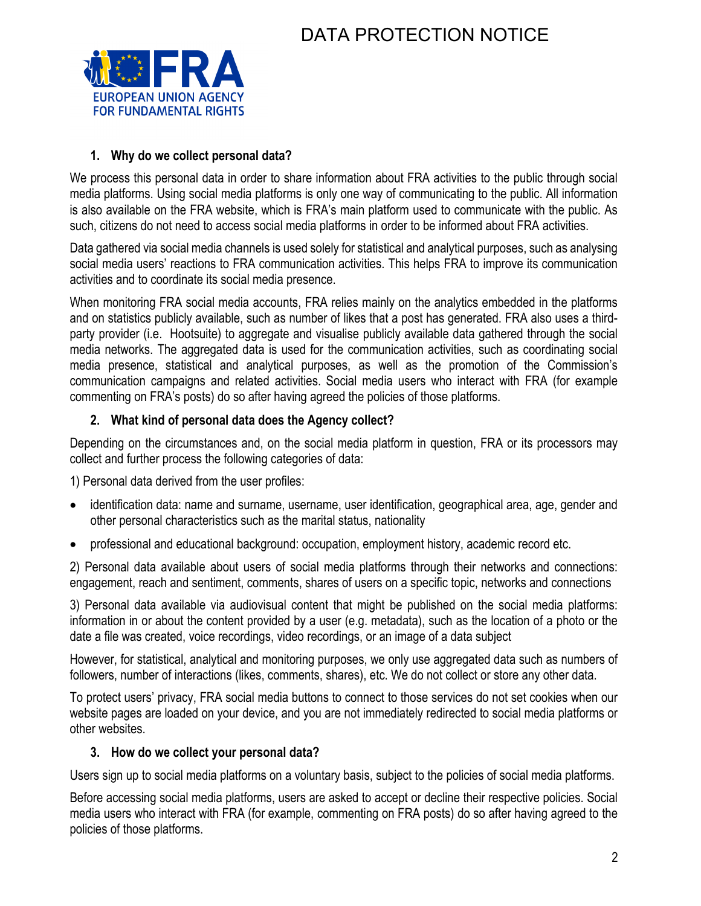

#### <span id="page-1-0"></span>**1. Why do we collect personal data?**

We process this personal data in order to share information about FRA activities to the public through social media platforms. Using social media platforms is only one way of communicating to the public. All information is also available on the FRA website, which is FRA's main platform used to communicate with the public. As such, citizens do not need to access social media platforms in order to be informed about FRA activities.

Data gathered via social media channels is used solely for statistical and analytical purposes, such as analysing social media users' reactions to FRA communication activities. This helps FRA to improve its communication activities and to coordinate its social media presence.

When monitoring FRA social media accounts, FRA relies mainly on the analytics embedded in the platforms and on statistics publicly available, such as number of likes that a post has generated. FRA also uses a thirdparty provider (i.e. Hootsuite) to aggregate and visualise publicly available data gathered through the social media networks. The aggregated data is used for the communication activities, such as coordinating social media presence, statistical and analytical purposes, as well as the promotion of the Commission's communication campaigns and related activities. Social media users who interact with FRA (for example commenting on FRA's posts) do so after having agreed the policies of those platforms.

### <span id="page-1-1"></span>**2. What kind of personal data does the Agency collect?**

Depending on the circumstances and, on the social media platform in question, FRA or its processors may collect and further process the following categories of data:

1) Personal data derived from the user profiles:

- identification data: name and surname, username, user identification, geographical area, age, gender and other personal characteristics such as the marital status, nationality
- professional and educational background: occupation, employment history, academic record etc.

2) Personal data available about users of social media platforms through their networks and connections: engagement, reach and sentiment, comments, shares of users on a specific topic, networks and connections

3) Personal data available via audiovisual content that might be published on the social media platforms: information in or about the content provided by a user (e.g. metadata), such as the location of a photo or the date a file was created, voice recordings, video recordings, or an image of a data subject

However, for statistical, analytical and monitoring purposes, we only use aggregated data such as numbers of followers, number of interactions (likes, comments, shares), etc. We do not collect or store any other data.

To protect users' privacy, FRA social media buttons to connect to those services do not set cookies when our website pages are loaded on your device, and you are not immediately redirected to social media platforms or other websites.

#### <span id="page-1-2"></span>**3. How do we collect your personal data?**

Users sign up to social media platforms on a voluntary basis, subject to the policies of social media platforms.

Before accessing social media platforms, users are asked to accept or decline their respective policies. Social media users who interact with FRA (for example, commenting on FRA posts) do so after having agreed to the policies of those platforms.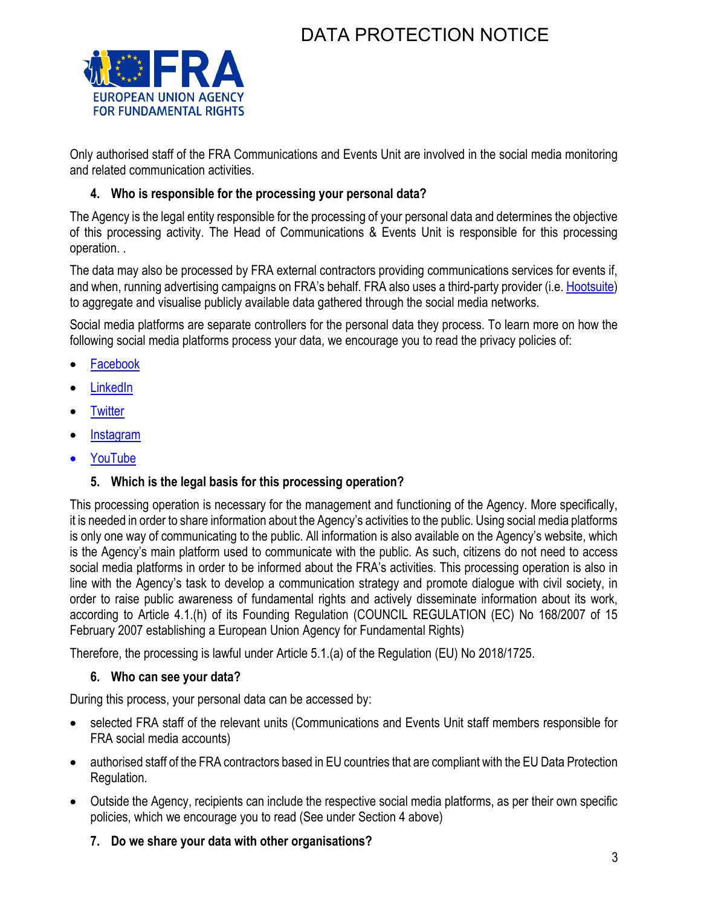

Only authorised staff of the FRA Communications and Events Unit are involved in the social media monitoring and related communication activities.

## <span id="page-2-0"></span>**4. Who is responsible for the processing your personal data?**

The Agency is the legal entity responsible for the processing of your personal data and determines the objective of this processing activity. The Head of Communications & Events Unit is responsible for this processing operati[on. .](mailto:Nicole.Romain@fra.europa.eu)

The data may also be processed by FRA external contractors providing communications services for events if, and when, running advertising campaigns on FRA's behalf. FRA also uses a third-party provider (i.e. [Hootsuite\)](https://www.hootsuite.com/legal/privacy) to aggregate and visualise publicly available data gathered through the social media networks.

Social media platforms are separate controllers for the personal data they process. To learn more on how the following social media platforms process your data, we encourage you to read the privacy policies of:

- [Facebook](https://www.facebook.com/privacy/center)
- [LinkedIn](https://www.linkedin.com/legal/privacy-policy)
- [Twitter](https://twitter.com/en/privacy)
- [Instagram](https://help.instagram.com/519522125107875/)
- <span id="page-2-1"></span>• [YouTube](https://policies.google.com/privacy?hl=en)

### **5. Which is the legal basis for this processing operation?**

This processing operation is necessary for the management and functioning of the Agency. More specifically, it is needed in order to share information about the Agency's activities to the public. Using social media platforms is only one way of communicating to the public. All information is also available on the Agency's website, which is the Agency's main platform used to communicate with the public. As such, citizens do not need to access social media platforms in order to be informed about the FRA's activities. This processing operation is also in line with the Agency's task to develop a communication strategy and promote dialogue with civil society, in order to raise public awareness of fundamental rights and actively disseminate information about its work, according to Article 4.1.(h) of its Founding Regulation (COUNCIL REGULATION (EC) No 168/2007 of 15 February 2007 establishing a European Union Agency for Fundamental Rights)

<span id="page-2-2"></span>Therefore, the processing is lawful under Article 5.1.(a) of the Regulation (EU) No 2018/1725.

#### **6. Who can see your data?**

During this process, your personal data can be accessed by:

- selected FRA staff of the relevant units (Communications and Events Unit staff members responsible for FRA social media accounts)
- authorised staff of the FRA contractors based in EU countries that are compliant with the EU Data Protection Regulation.
- <span id="page-2-3"></span>• Outside the Agency, recipients can include the respective social media platforms, as per their own specific policies, which we encourage you to read (See under Section 4 above)
	- **7. Do we share your data with other organisations?**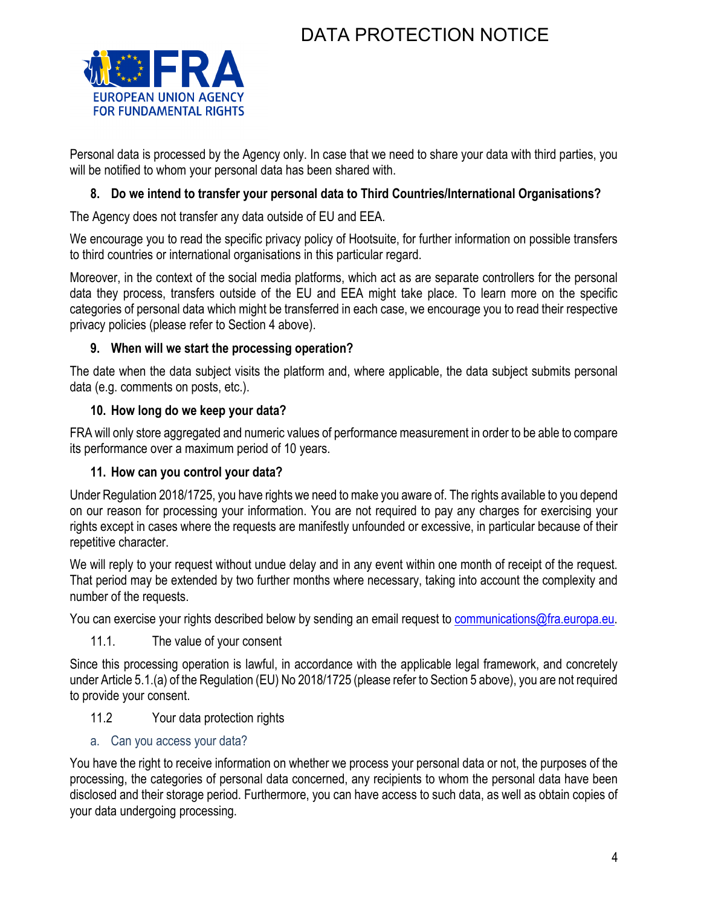

Personal data is processed by the Agency only. In case that we need to share your data with third parties, you will be notified to whom your personal data has been shared with.

## <span id="page-3-0"></span>**8. Do we intend to transfer your personal data to Third Countries/International Organisations?**

The Agency does not transfer any data outside of EU and EEA.

We encourage you to read the specific privacy policy of Hootsuite, for further information on possible transfers to third countries or international organisations in this particular regard.

Moreover, in the context of the social media platforms, which act as are separate controllers for the personal data they process, transfers outside of the EU and EEA might take place. To learn more on the specific categories of personal data which might be transferred in each case, we encourage you to read their respective privacy policies (please refer to Section 4 above).

### <span id="page-3-1"></span>**9. When will we start the processing operation?**

The date when the data subject visits the platform and, where applicable, the data subject submits personal data (e.g. comments on posts, etc.).

### <span id="page-3-2"></span>**10. How long do we keep your data?**

FRA will only store aggregated and numeric values of performance measurement in order to be able to compare its performance over a maximum period of 10 years.

### <span id="page-3-3"></span>**11. How can you control your data?**

Under Regulation 2018/1725, you have rights we need to make you aware of. The rights available to you depend on our reason for processing your information. You are not required to pay any charges for exercising your rights except in cases where the requests are manifestly unfounded or excessive, in particular because of their repetitive character.

We will reply to your request without undue delay and in any event within one month of receipt of the request. That period may be extended by two further months where necessary, taking into account the complexity and number of the requests.

You can exercise your rights described below by sending an email request to [communications@fra.europa.eu.](mailto:communications@fra.europa.eu)

11.1. The value of your consent

Since this processing operation is lawful, in accordance with the applicable legal framework, and concretely under Article 5.1.(a) of the Regulation (EU) No 2018/1725 (please refer to Section 5 above), you are not required to provide your consent.

### 11.2 Your data protection rights

a. Can you access your data?

<span id="page-3-4"></span>You have the right to receive information on whether we process your personal data or not, the purposes of the processing, the categories of personal data concerned, any recipients to whom the personal data have been disclosed and their storage period. Furthermore, you can have access to such data, as well as obtain copies of your data undergoing processing.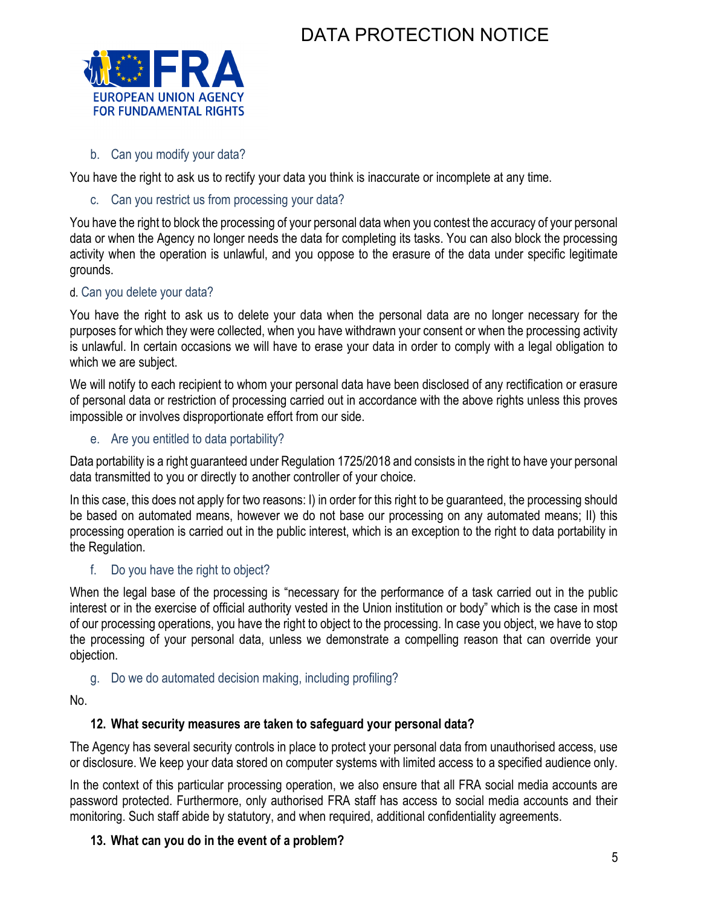

<span id="page-4-0"></span>b. Can you modify your data?

<span id="page-4-1"></span>You have the right to ask us to rectify your data you think is inaccurate or incomplete at any time.

c. Can you restrict us from processing your data?

You have the right to block the processing of your personal data when you contest the accuracy of your personal data or when the Agency no longer needs the data for completing its tasks. You can also block the processing activity when the operation is unlawful, and you oppose to the erasure of the data under specific legitimate grounds.

#### d. Can you delete your data?

You have the right to ask us to delete your data when the personal data are no longer necessary for the purposes for which they were collected, when you have withdrawn your consent or when the processing activity is unlawful. In certain occasions we will have to erase your data in order to comply with a legal obligation to which we are subject.

We will notify to each recipient to whom your personal data have been disclosed of any rectification or erasure of personal data or restriction of processing carried out in accordance with the above rights unless this proves impossible or involves disproportionate effort from our side.

e. Are you entitled to data portability?

<span id="page-4-2"></span>Data portability is a right guaranteed under Regulation 1725/2018 and consists in the right to have your personal data transmitted to you or directly to another controller of your choice.

In this case, this does not apply for two reasons: I) in order for this right to be guaranteed, the processing should be based on automated means, however we do not base our processing on any automated means; II) this processing operation is carried out in the public interest, which is an exception to the right to data portability in the Regulation.

#### <span id="page-4-3"></span>f. Do you have the right to object?

When the legal base of the processing is "necessary for the performance of a task carried out in the public interest or in the exercise of official authority vested in the Union institution or body" which is the case in most of our processing operations, you have the right to object to the processing. In case you object, we have to stop the processing of your personal data, unless we demonstrate a compelling reason that can override your objection.

### <span id="page-4-4"></span>g. Do we do automated decision making, including profiling?

No.

### <span id="page-4-5"></span>**12. What security measures are taken to safeguard your personal data?**

The Agency has several security controls in place to protect your personal data from unauthorised access, use or disclosure. We keep your data stored on computer systems with limited access to a specified audience only.

In the context of this particular processing operation, we also ensure that all FRA social media accounts are password protected. Furthermore, only authorised FRA staff has access to social media accounts and their monitoring. Such staff abide by statutory, and when required, additional confidentiality agreements.

### <span id="page-4-6"></span>**13. What can you do in the event of a problem?**